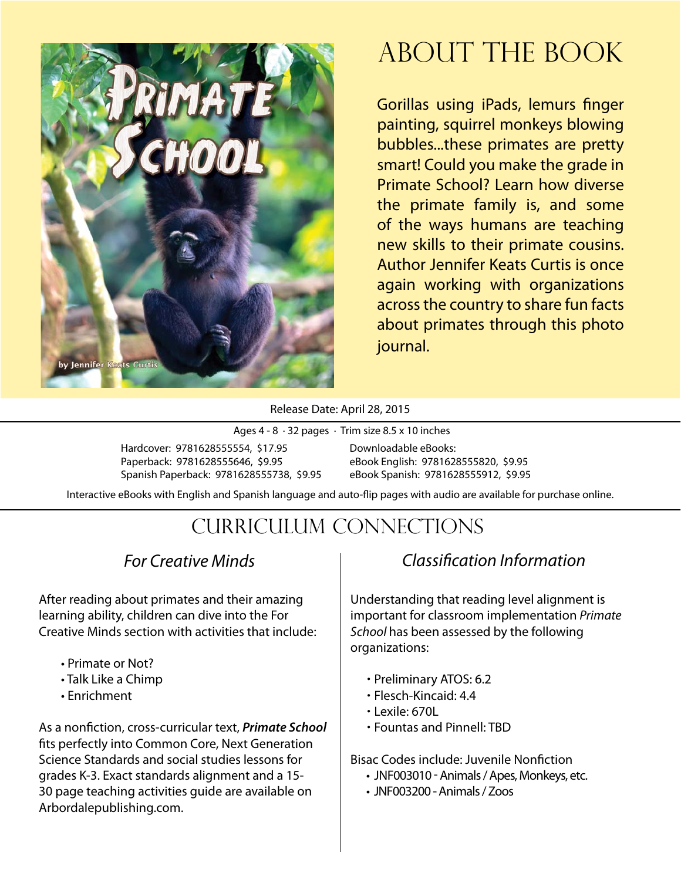

### About The Book

Gorillas using iPads, lemurs finger painting, squirrel monkeys blowing bubbles...these primates are pretty smart! Could you make the grade in Primate School? Learn how diverse the primate family is, and some of the ways humans are teaching new skills to their primate cousins. Author Jennifer Keats Curtis is once again working with organizations across the country to share fun facts about primates through this photo journal.

Release Date: April 28, 2015

Ages 4 - 8 · 32 pages · Trim size 8.5 x 10 inches

Hardcover: 9781628555554, \$17.95 Paperback: 9781628555646, \$9.95 Spanish Paperback: 9781628555738, \$9.95 Downloadable eBooks: eBook English: 9781628555820, \$9.95 eBook Spanish: 9781628555912, \$9.95

Interactive eBooks with English and Spanish language and auto-flip pages with audio are available for purchase online.

### Curriculum Connections

#### *For Creative Minds*

After reading about primates and their amazing learning ability, children can dive into the For Creative Minds section with activities that include:

- Primate or Not?
- Talk Like a Chimp
- Enrichment

As a nonfiction, cross-curricular text, *Primate School* fits perfectly into Common Core, Next Generation Science Standards and social studies lessons for grades K-3. Exact standards alignment and a 15- 30 page teaching activities guide are available on Arbordalepublishing.com.

#### *Classification Information*

Understanding that reading level alignment is important for classroom implementation *Primate School* has been assessed by the following organizations:

- Preliminary ATOS: 6.2
- Flesch-Kincaid: 4.4
- $\cdot$  Lexile: 670L
- Fountas and Pinnell: TBD

Bisac Codes include: Juvenile Nonfiction

- JNF003010 Animals / Apes, Monkeys, etc.
- JNF003200 Animals / Zoos